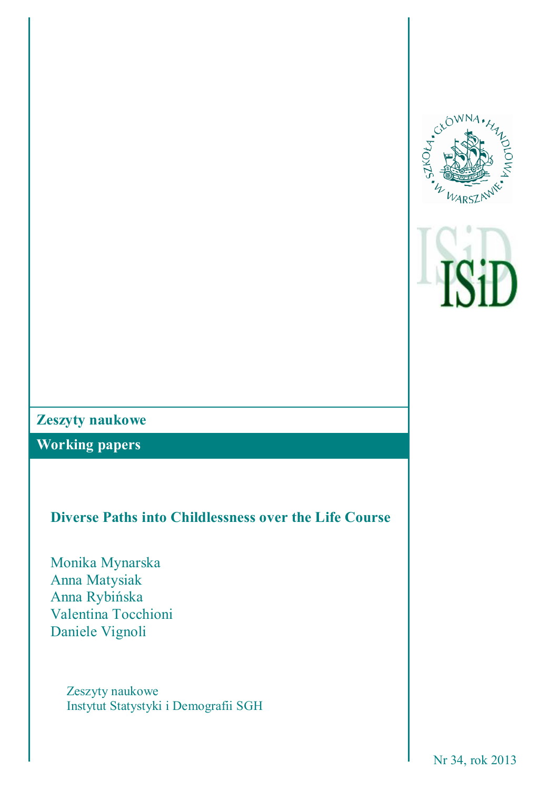



# **Zeszyty naukowe**

**Working papers**

# **Diverse Paths into Childlessness over the Life Course**

Monika Mynarska Anna Matysiak Anna Rybińska Valentina Tocchioni Daniele Vignoli

> Zeszyty naukowe Instytut Statystyki i Demografii SGH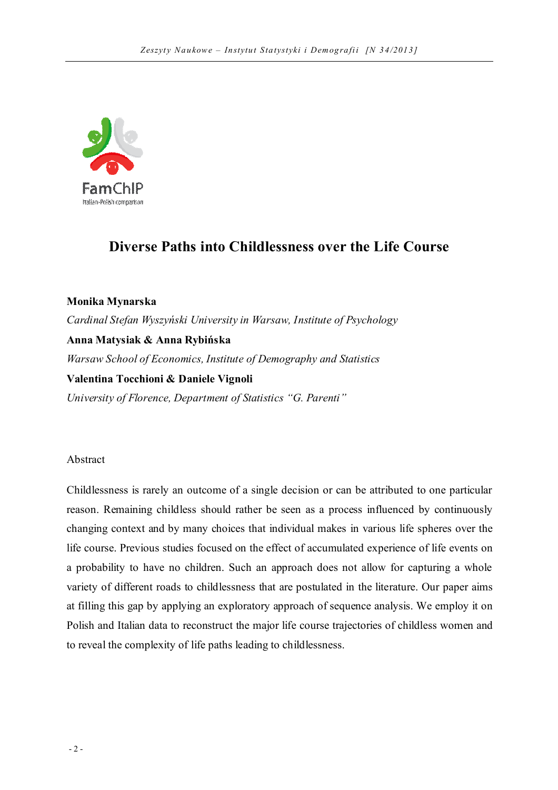

# **Diverse Paths into Childlessness over the Life Course**

**Monika Mynarska** *Cardinal Stefan Wyszyński University in Warsaw, Institute of Psychology* **Anna Matysiak & Anna Rybińska** *Warsaw School of Economics, Institute of Demography and Statistics* **Valentina Tocchioni & Daniele Vignoli** *University of Florence, Department of Statistics "G. Parenti"*

Abstract

Childlessness is rarely an outcome of a single decision or can be attributed to one particular reason. Remaining childless should rather be seen as a process influenced by continuously changing context and by many choices that individual makes in various life spheres over the life course. Previous studies focused on the effect of accumulated experience of life events on a probability to have no children. Such an approach does not allow for capturing a whole variety of different roads to childlessness that are postulated in the literature. Our paper aims at filling this gap by applying an exploratory approach of sequence analysis. We employ it on Polish and Italian data to reconstruct the major life course trajectories of childless women and to reveal the complexity of life paths leading to childlessness.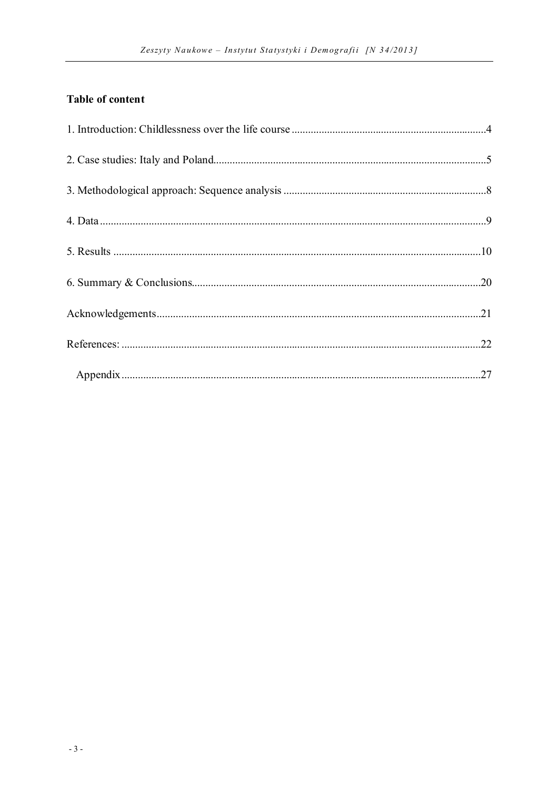# **Table of content**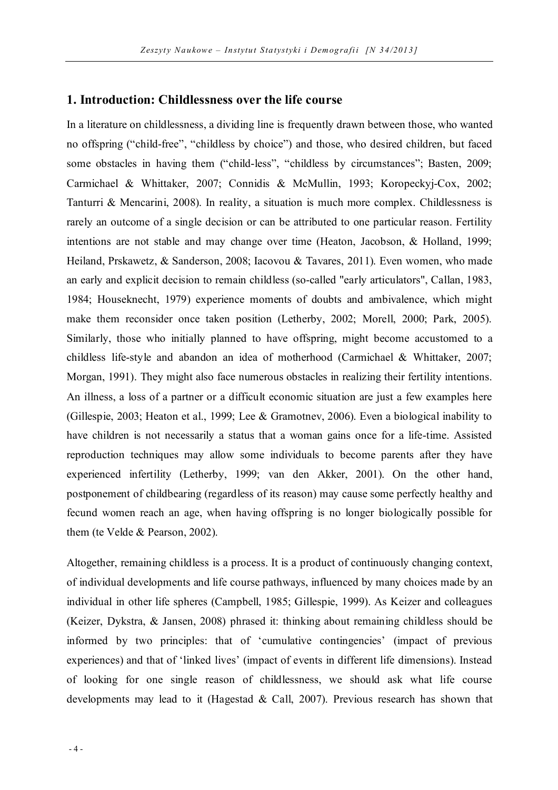### **1. Introduction: Childlessness over the life course**

In a literature on childlessness, a dividing line is frequently drawn between those, who wanted no offspring ("child-free", "childless by choice") and those, who desired children, but faced some obstacles in having them ("child-less", "childless by circumstances"; Basten, 2009; Carmichael & Whittaker, 2007; Connidis & McMullin, 1993; Koropeckyj-Cox, 2002; Tanturri & Mencarini, 2008). In reality, a situation is much more complex. Childlessness is rarely an outcome of a single decision or can be attributed to one particular reason. Fertility intentions are not stable and may change over time (Heaton, Jacobson, & Holland, 1999; Heiland, Prskawetz, & Sanderson, 2008; Iacovou & Tavares, 2011). Even women, who made an early and explicit decision to remain childless (so-called "early articulators", Callan, 1983, 1984; Houseknecht, 1979) experience moments of doubts and ambivalence, which might make them reconsider once taken position (Letherby, 2002; Morell, 2000; Park, 2005). Similarly, those who initially planned to have offspring, might become accustomed to a childless life-style and abandon an idea of motherhood (Carmichael & Whittaker, 2007; Morgan, 1991). They might also face numerous obstacles in realizing their fertility intentions. An illness, a loss of a partner or a difficult economic situation are just a few examples here (Gillespie, 2003; Heaton et al., 1999; Lee & Gramotnev, 2006). Even a biological inability to have children is not necessarily a status that a woman gains once for a life-time. Assisted reproduction techniques may allow some individuals to become parents after they have experienced infertility (Letherby, 1999; van den Akker, 2001). On the other hand, postponement of childbearing (regardless of its reason) may cause some perfectly healthy and fecund women reach an age, when having offspring is no longer biologically possible for them (te Velde & Pearson, 2002).

Altogether, remaining childless is a process. It is a product of continuously changing context, of individual developments and life course pathways, influenced by many choices made by an individual in other life spheres (Campbell, 1985; Gillespie, 1999). As Keizer and colleagues (Keizer, Dykstra, & Jansen, 2008) phrased it: thinking about remaining childless should be informed by two principles: that of 'cumulative contingencies' (impact of previous experiences) and that of 'linked lives' (impact of events in different life dimensions). Instead of looking for one single reason of childlessness, we should ask what life course developments may lead to it (Hagestad  $& Call, 2007$ ). Previous research has shown that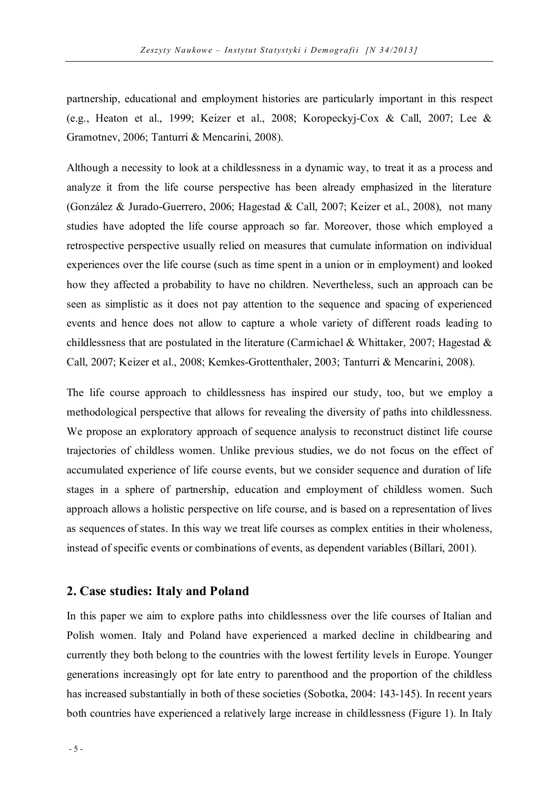partnership, educational and employment histories are particularly important in this respect (e.g., Heaton et al., 1999; Keizer et al., 2008; Koropeckyj-Cox & Call, 2007; Lee & Gramotnev, 2006; Tanturri & Mencarini, 2008).

Although a necessity to look at a childlessness in a dynamic way, to treat it as a process and analyze it from the life course perspective has been already emphasized in the literature (González & Jurado-Guerrero, 2006; Hagestad & Call, 2007; Keizer et al., 2008), not many studies have adopted the life course approach so far. Moreover, those which employed a retrospective perspective usually relied on measures that cumulate information on individual experiences over the life course (such as time spent in a union or in employment) and looked how they affected a probability to have no children. Nevertheless, such an approach can be seen as simplistic as it does not pay attention to the sequence and spacing of experienced events and hence does not allow to capture a whole variety of different roads leading to childlessness that are postulated in the literature (Carmichael & Whittaker, 2007; Hagestad  $\&$ Call, 2007; Keizer et al., 2008; Kemkes-Grottenthaler, 2003; Tanturri & Mencarini, 2008).

The life course approach to childlessness has inspired our study, too, but we employ a methodological perspective that allows for revealing the diversity of paths into childlessness. We propose an exploratory approach of sequence analysis to reconstruct distinct life course trajectories of childless women. Unlike previous studies, we do not focus on the effect of accumulated experience of life course events, but we consider sequence and duration of life stages in a sphere of partnership, education and employment of childless women. Such approach allows a holistic perspective on life course, and is based on a representation of lives as sequences of states. In this way we treat life courses as complex entities in their wholeness, instead of specific events or combinations of events, as dependent variables (Billari, 2001).

## **2. Case studies: Italy and Poland**

In this paper we aim to explore paths into childlessness over the life courses of Italian and Polish women. Italy and Poland have experienced a marked decline in childbearing and currently they both belong to the countries with the lowest fertility levels in Europe. Younger generations increasingly opt for late entry to parenthood and the proportion of the childless has increased substantially in both of these societies (Sobotka, 2004: 143-145). In recent years both countries have experienced a relatively large increase in childlessness (Figure 1). In Italy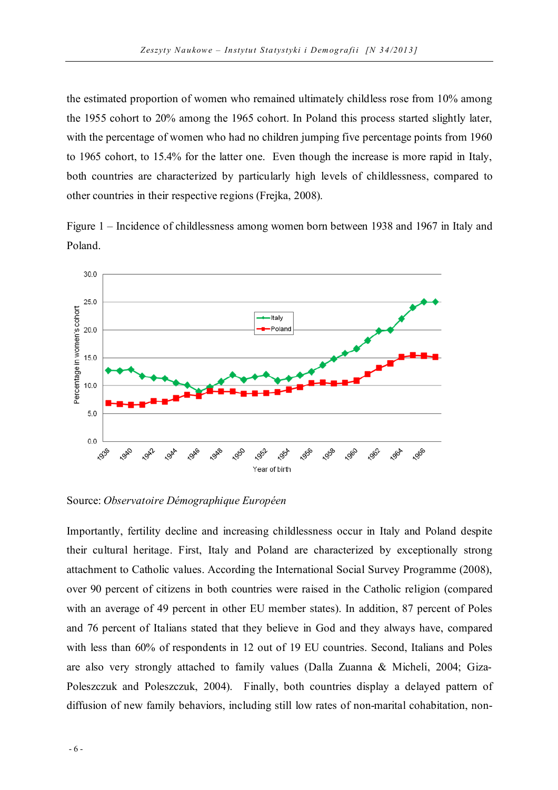the estimated proportion of women who remained ultimately childless rose from 10% among the 1955 cohort to 20% among the 1965 cohort. In Poland this process started slightly later, with the percentage of women who had no children jumping five percentage points from 1960 to 1965 cohort, to 15.4% for the latter one. Even though the increase is more rapid in Italy, both countries are characterized by particularly high levels of childlessness, compared to other countries in their respective regions (Frejka, 2008).

Figure 1 – Incidence of childlessness among women born between 1938 and 1967 in Italy and Poland.



Source: *Observatoire Démographique Européen*

Importantly, fertility decline and increasing childlessness occur in Italy and Poland despite their cultural heritage. First, Italy and Poland are characterized by exceptionally strong attachment to Catholic values. According the International Social Survey Programme (2008), over 90 percent of citizens in both countries were raised in the Catholic religion (compared with an average of 49 percent in other EU member states). In addition, 87 percent of Poles and 76 percent of Italians stated that they believe in God and they always have, compared with less than 60% of respondents in 12 out of 19 EU countries. Second, Italians and Poles are also very strongly attached to family values (Dalla Zuanna & Micheli, 2004; Giza-Poleszczuk and Poleszczuk, 2004). Finally, both countries display a delayed pattern of diffusion of new family behaviors, including still low rates of non-marital cohabitation, non-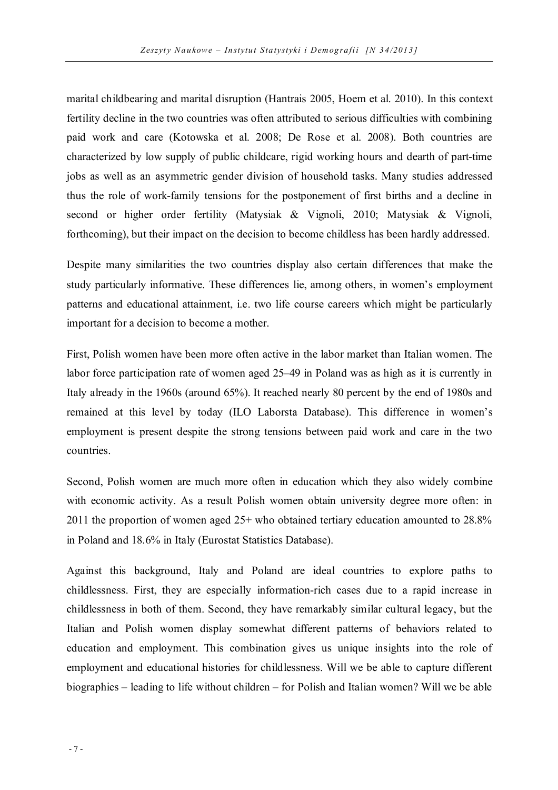marital childbearing and marital disruption (Hantrais 2005, Hoem et al. 2010). In this context fertility decline in the two countries was often attributed to serious difficulties with combining paid work and care (Kotowska et al. 2008; De Rose et al. 2008). Both countries are characterized by low supply of public childcare, rigid working hours and dearth of part-time jobs as well as an asymmetric gender division of household tasks. Many studies addressed thus the role of work-family tensions for the postponement of first births and a decline in second or higher order fertility (Matysiak & Vignoli, 2010; Matysiak & Vignoli, forthcoming), but their impact on the decision to become childless has been hardly addressed.

Despite many similarities the two countries display also certain differences that make the study particularly informative. These differences lie, among others, in women's employment patterns and educational attainment, i.e. two life course careers which might be particularly important for a decision to become a mother.

First, Polish women have been more often active in the labor market than Italian women. The labor force participation rate of women aged 25–49 in Poland was as high as it is currently in Italy already in the 1960s (around 65%). It reached nearly 80 percent by the end of 1980s and remained at this level by today (ILO Laborsta Database). This difference in women's employment is present despite the strong tensions between paid work and care in the two countries.

Second, Polish women are much more often in education which they also widely combine with economic activity. As a result Polish women obtain university degree more often: in 2011 the proportion of women aged 25+ who obtained tertiary education amounted to 28.8% in Poland and 18.6% in Italy (Eurostat Statistics Database).

Against this background, Italy and Poland are ideal countries to explore paths to childlessness. First, they are especially information-rich cases due to a rapid increase in childlessness in both of them. Second, they have remarkably similar cultural legacy, but the Italian and Polish women display somewhat different patterns of behaviors related to education and employment. This combination gives us unique insights into the role of employment and educational histories for childlessness. Will we be able to capture different biographies – leading to life without children – for Polish and Italian women? Will we be able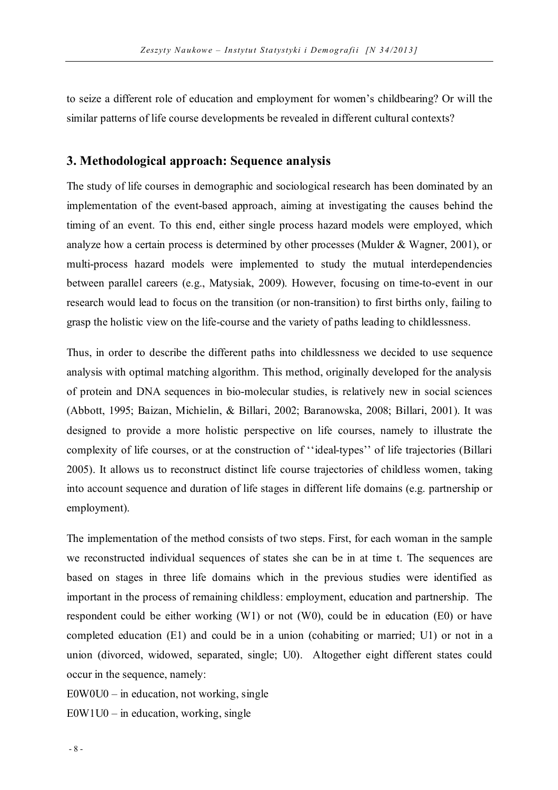to seize a different role of education and employment for women's childbearing? Or will the similar patterns of life course developments be revealed in different cultural contexts?

## **3. Methodological approach: Sequence analysis**

The study of life courses in demographic and sociological research has been dominated by an implementation of the event-based approach, aiming at investigating the causes behind the timing of an event. To this end, either single process hazard models were employed, which analyze how a certain process is determined by other processes (Mulder & Wagner, 2001), or multi-process hazard models were implemented to study the mutual interdependencies between parallel careers (e.g., Matysiak, 2009). However, focusing on time-to-event in our research would lead to focus on the transition (or non-transition) to first births only, failing to grasp the holistic view on the life-course and the variety of paths leading to childlessness.

Thus, in order to describe the different paths into childlessness we decided to use sequence analysis with optimal matching algorithm. This method, originally developed for the analysis of protein and DNA sequences in bio-molecular studies, is relatively new in social sciences (Abbott, 1995; Baizan, Michielin, & Billari, 2002; Baranowska, 2008; Billari, 2001). It was designed to provide a more holistic perspective on life courses, namely to illustrate the complexity of life courses, or at the construction of ''ideal-types'' of life trajectories (Billari 2005). It allows us to reconstruct distinct life course trajectories of childless women, taking into account sequence and duration of life stages in different life domains (e.g. partnership or employment).

The implementation of the method consists of two steps. First, for each woman in the sample we reconstructed individual sequences of states she can be in at time t. The sequences are based on stages in three life domains which in the previous studies were identified as important in the process of remaining childless: employment, education and partnership. The respondent could be either working (W1) or not (W0), could be in education (E0) or have completed education (E1) and could be in a union (cohabiting or married; U1) or not in a union (divorced, widowed, separated, single; U0). Altogether eight different states could occur in the sequence, namely:

 $E0W0U0 - in education, not working, single$  $E0W1U0 - in education, working, single$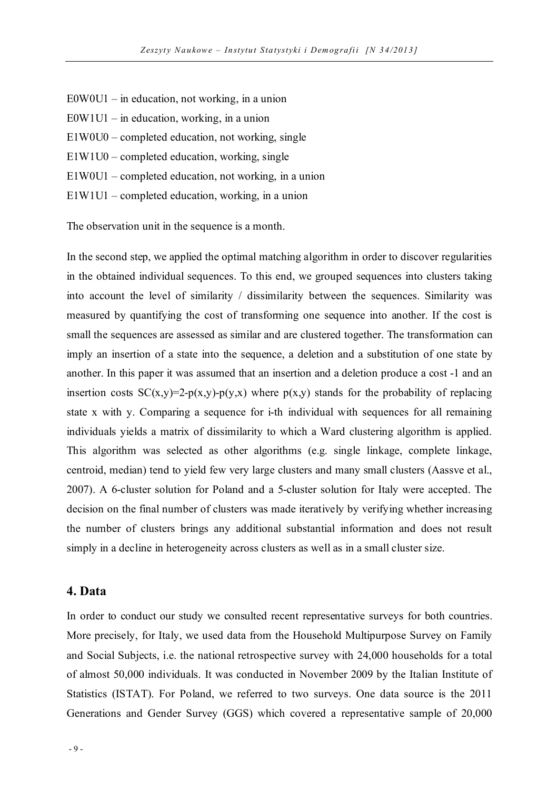- E0W0U1 in education, not working, in a union
- $EOW1U1 in education, working, in a union$
- E1W0U0 completed education, not working, single
- E1W1U0 completed education, working, single
- E1W0U1 completed education, not working, in a union
- E1W1U1 completed education, working, in a union

The observation unit in the sequence is a month.

In the second step, we applied the optimal matching algorithm in order to discover regularities in the obtained individual sequences. To this end, we grouped sequences into clusters taking into account the level of similarity / dissimilarity between the sequences. Similarity was measured by quantifying the cost of transforming one sequence into another. If the cost is small the sequences are assessed as similar and are clustered together. The transformation can imply an insertion of a state into the sequence, a deletion and a substitution of one state by another. In this paper it was assumed that an insertion and a deletion produce a cost -1 and an insertion costs  $SC(x,y)=2-p(x,y)-p(y,x)$  where  $p(x,y)$  stands for the probability of replacing state x with y. Comparing a sequence for i-th individual with sequences for all remaining individuals yields a matrix of dissimilarity to which a Ward clustering algorithm is applied. This algorithm was selected as other algorithms (e.g. single linkage, complete linkage, centroid, median) tend to yield few very large clusters and many small clusters (Aassve et al., 2007). A 6-cluster solution for Poland and a 5-cluster solution for Italy were accepted. The decision on the final number of clusters was made iteratively by verifying whether increasing the number of clusters brings any additional substantial information and does not result simply in a decline in heterogeneity across clusters as well as in a small cluster size.

## **4. Data**

In order to conduct our study we consulted recent representative surveys for both countries. More precisely, for Italy, we used data from the Household Multipurpose Survey on Family and Social Subjects, i.e. the national retrospective survey with 24,000 households for a total of almost 50,000 individuals. It was conducted in November 2009 by the Italian Institute of Statistics (ISTAT). For Poland, we referred to two surveys. One data source is the 2011 Generations and Gender Survey (GGS) which covered a representative sample of 20,000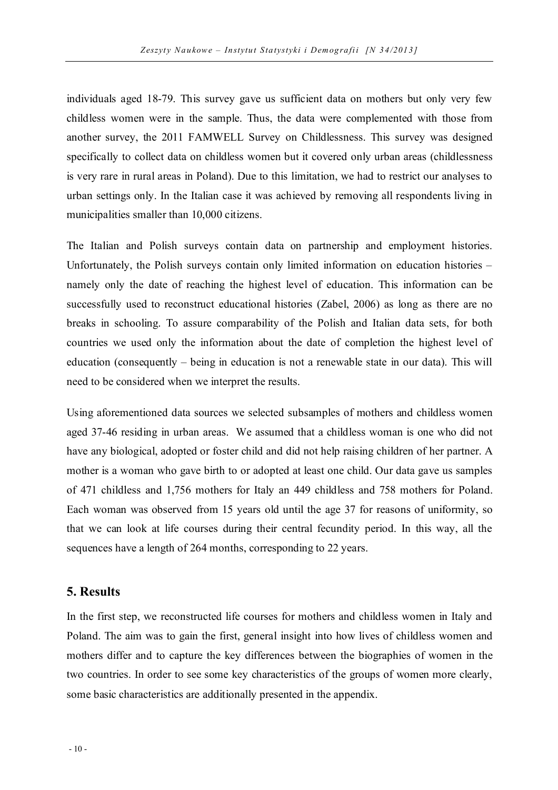individuals aged 18-79. This survey gave us sufficient data on mothers but only very few childless women were in the sample. Thus, the data were complemented with those from another survey, the 2011 FAMWELL Survey on Childlessness. This survey was designed specifically to collect data on childless women but it covered only urban areas (childlessness is very rare in rural areas in Poland). Due to this limitation, we had to restrict our analyses to urban settings only. In the Italian case it was achieved by removing all respondents living in municipalities smaller than 10,000 citizens.

The Italian and Polish surveys contain data on partnership and employment histories. Unfortunately, the Polish surveys contain only limited information on education histories – namely only the date of reaching the highest level of education. This information can be successfully used to reconstruct educational histories (Zabel, 2006) as long as there are no breaks in schooling. To assure comparability of the Polish and Italian data sets, for both countries we used only the information about the date of completion the highest level of education (consequently – being in education is not a renewable state in our data). This will need to be considered when we interpret the results.

Using aforementioned data sources we selected subsamples of mothers and childless women aged 37-46 residing in urban areas. We assumed that a childless woman is one who did not have any biological, adopted or foster child and did not help raising children of her partner. A mother is a woman who gave birth to or adopted at least one child. Our data gave us samples of 471 childless and 1,756 mothers for Italy an 449 childless and 758 mothers for Poland. Each woman was observed from 15 years old until the age 37 for reasons of uniformity, so that we can look at life courses during their central fecundity period. In this way, all the sequences have a length of 264 months, corresponding to 22 years.

## **5. Results**

In the first step, we reconstructed life courses for mothers and childless women in Italy and Poland. The aim was to gain the first, general insight into how lives of childless women and mothers differ and to capture the key differences between the biographies of women in the two countries. In order to see some key characteristics of the groups of women more clearly, some basic characteristics are additionally presented in the appendix.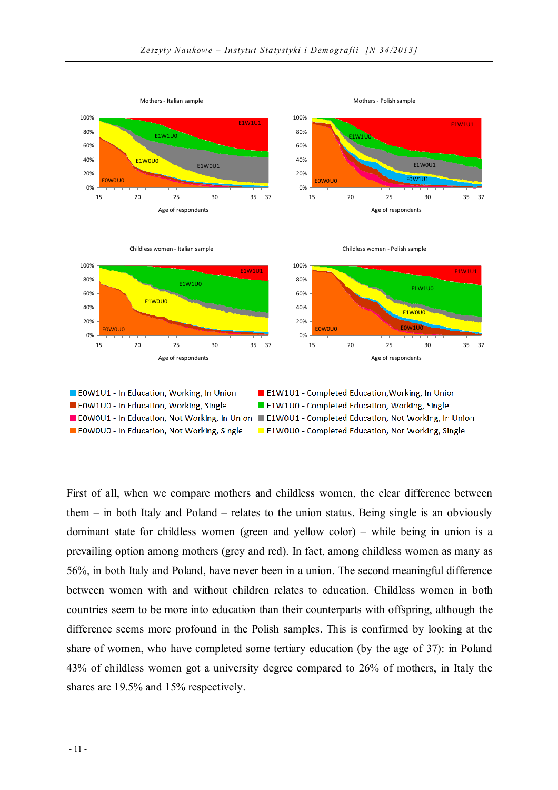

First of all, when we compare mothers and childless women, the clear difference between them – in both Italy and Poland – relates to the union status. Being single is an obviously dominant state for childless women (green and yellow color) – while being in union is a prevailing option among mothers (grey and red). In fact, among childless women as many as 56%, in both Italy and Poland, have never been in a union. The second meaningful difference between women with and without children relates to education. Childless women in both countries seem to be more into education than their counterparts with offspring, although the difference seems more profound in the Polish samples. This is confirmed by looking at the share of women, who have completed some tertiary education (by the age of 37): in Poland 43% of childless women got a university degree compared to 26% of mothers, in Italy the shares are 19.5% and 15% respectively.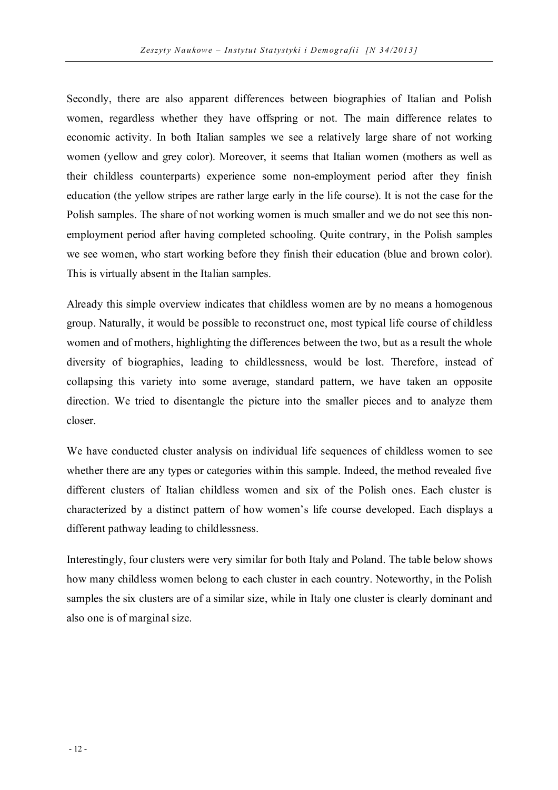Secondly, there are also apparent differences between biographies of Italian and Polish women, regardless whether they have offspring or not. The main difference relates to economic activity. In both Italian samples we see a relatively large share of not working women (yellow and grey color). Moreover, it seems that Italian women (mothers as well as their childless counterparts) experience some non-employment period after they finish education (the yellow stripes are rather large early in the life course). It is not the case for the Polish samples. The share of not working women is much smaller and we do not see this nonemployment period after having completed schooling. Quite contrary, in the Polish samples we see women, who start working before they finish their education (blue and brown color). This is virtually absent in the Italian samples.

Already this simple overview indicates that childless women are by no means a homogenous group. Naturally, it would be possible to reconstruct one, most typical life course of childless women and of mothers, highlighting the differences between the two, but as a result the whole diversity of biographies, leading to childlessness, would be lost. Therefore, instead of collapsing this variety into some average, standard pattern, we have taken an opposite direction. We tried to disentangle the picture into the smaller pieces and to analyze them closer.

We have conducted cluster analysis on individual life sequences of childless women to see whether there are any types or categories within this sample. Indeed, the method revealed five different clusters of Italian childless women and six of the Polish ones. Each cluster is characterized by a distinct pattern of how women's life course developed. Each displays a different pathway leading to childlessness.

Interestingly, four clusters were very similar for both Italy and Poland. The table below shows how many childless women belong to each cluster in each country. Noteworthy, in the Polish samples the six clusters are of a similar size, while in Italy one cluster is clearly dominant and also one is of marginal size.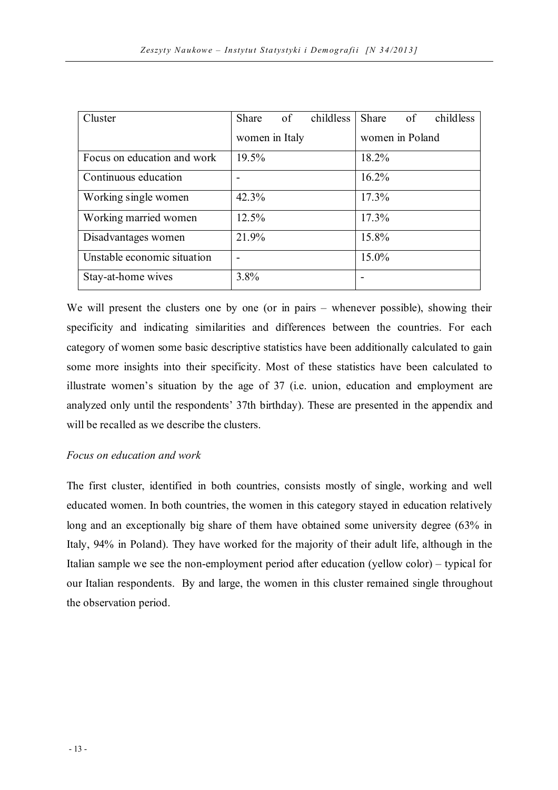| Cluster                     | Share          | $\overline{\text{of}}$ | childless | Share of        |  | childless |
|-----------------------------|----------------|------------------------|-----------|-----------------|--|-----------|
|                             | women in Italy |                        |           | women in Poland |  |           |
| Focus on education and work | 19.5%          |                        |           | 18.2%           |  |           |
| Continuous education        |                |                        |           | 16.2%           |  |           |
| Working single women        | 42.3%          |                        |           | 17.3%           |  |           |
| Working married women       | 12.5%          |                        |           | 17.3%           |  |           |
| Disadvantages women         | 21.9%          |                        |           | 15.8%           |  |           |
| Unstable economic situation |                |                        |           | 15.0%           |  |           |
| Stay-at-home wives          | 3.8%           |                        |           |                 |  |           |

We will present the clusters one by one (or in pairs – whenever possible), showing their specificity and indicating similarities and differences between the countries. For each category of women some basic descriptive statistics have been additionally calculated to gain some more insights into their specificity. Most of these statistics have been calculated to illustrate women's situation by the age of 37 (i.e. union, education and employment are analyzed only until the respondents' 37th birthday). These are presented in the appendix and will be recalled as we describe the clusters.

## *Focus on education and work*

The first cluster, identified in both countries, consists mostly of single, working and well educated women. In both countries, the women in this category stayed in education relatively long and an exceptionally big share of them have obtained some university degree (63% in Italy, 94% in Poland). They have worked for the majority of their adult life, although in the Italian sample we see the non-employment period after education (yellow color) – typical for our Italian respondents. By and large, the women in this cluster remained single throughout the observation period.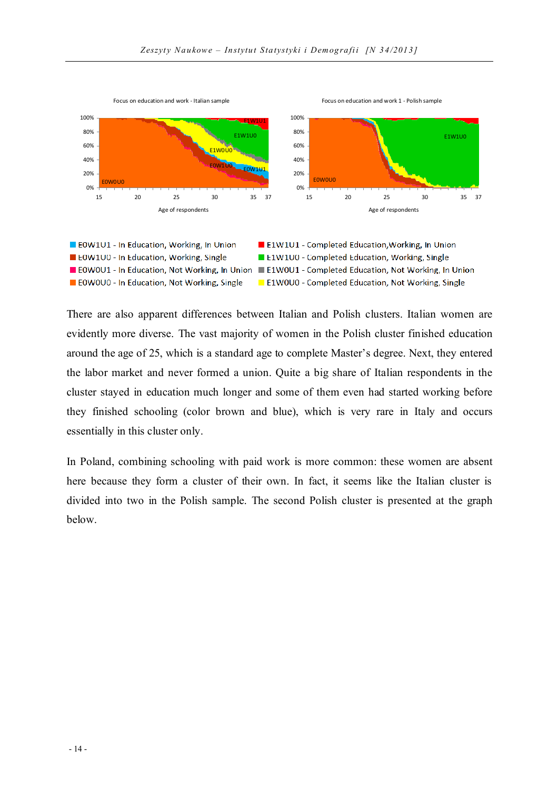

E0W0U0 - In Education, Not Working, Single

There are also apparent differences between Italian and Polish clusters. Italian women are evidently more diverse. The vast majority of women in the Polish cluster finished education around the age of 25, which is a standard age to complete Master's degree. Next, they entered the labor market and never formed a union. Quite a big share of Italian respondents in the cluster stayed in education much longer and some of them even had started working before they finished schooling (color brown and blue), which is very rare in Italy and occurs essentially in this cluster only.

E1W0U0 - Completed Education, Not Working, Single

In Poland, combining schooling with paid work is more common: these women are absent here because they form a cluster of their own. In fact, it seems like the Italian cluster is divided into two in the Polish sample. The second Polish cluster is presented at the graph below.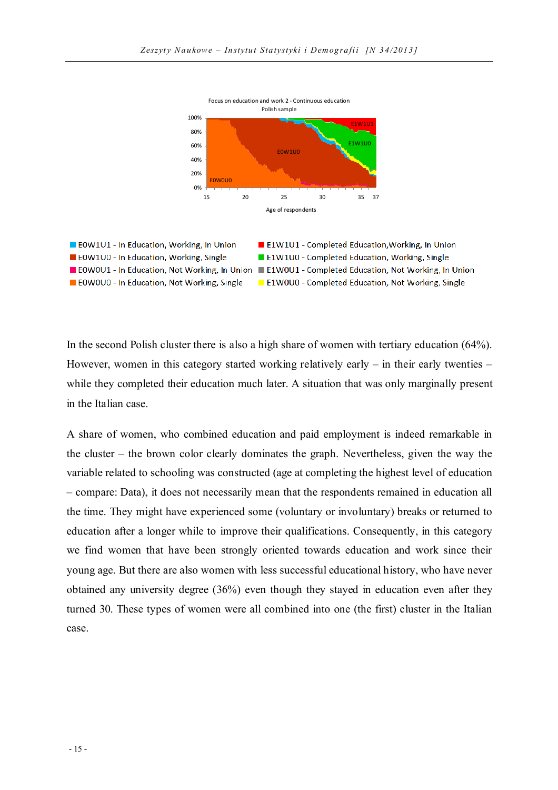



In the second Polish cluster there is also a high share of women with tertiary education (64%). However, women in this category started working relatively early – in their early twenties – while they completed their education much later. A situation that was only marginally present in the Italian case.

A share of women, who combined education and paid employment is indeed remarkable in the cluster – the brown color clearly dominates the graph. Nevertheless, given the way the variable related to schooling was constructed (age at completing the highest level of education – compare: Data), it does not necessarily mean that the respondents remained in education all the time. They might have experienced some (voluntary or involuntary) breaks or returned to education after a longer while to improve their qualifications. Consequently, in this category we find women that have been strongly oriented towards education and work since their young age. But there are also women with less successful educational history, who have never obtained any university degree (36%) even though they stayed in education even after they turned 30. These types of women were all combined into one (the first) cluster in the Italian case.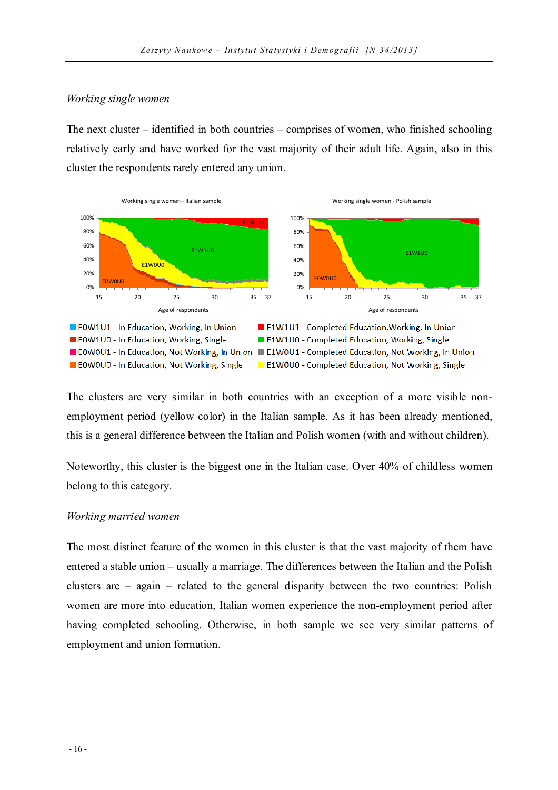#### *Working single women*

The next cluster – identified in both countries – comprises of women, who finished schooling relatively early and have worked for the vast majority of their adult life. Again, also in this cluster the respondents rarely entered any union.



The clusters are very similar in both countries with an exception of a more visible nonemployment period (yellow color) in the Italian sample. As it has been already mentioned, this is a general difference between the Italian and Polish women (with and without children).

Noteworthy, this cluster is the biggest one in the Italian case. Over 40% of childless women belong to this category.

#### *Working married women*

The most distinct feature of the women in this cluster is that the vast majority of them have entered a stable union – usually a marriage. The differences between the Italian and the Polish clusters are – again – related to the general disparity between the two countries: Polish women are more into education, Italian women experience the non-employment period after having completed schooling. Otherwise, in both sample we see very similar patterns of employment and union formation.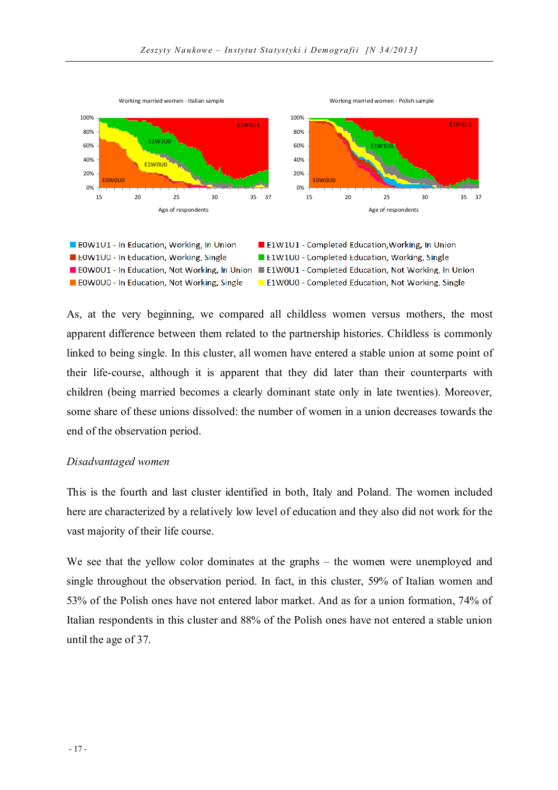



As, at the very beginning, we compared all childless women versus mothers, the most apparent difference between them related to the partnership histories. Childless is commonly linked to being single. In this cluster, all women have entered a stable union at some point of their life-course, although it is apparent that they did later than their counterparts with children (being married becomes a clearly dominant state only in late twenties). Moreover, some share of these unions dissolved: the number of women in a union decreases towards the end of the observation period.

#### *Disadvantaged women*

This is the fourth and last cluster identified in both, Italy and Poland. The women included here are characterized by a relatively low level of education and they also did not work for the vast majority of their life course.

We see that the yellow color dominates at the graphs – the women were unemployed and single throughout the observation period. In fact, in this cluster, 59% of Italian women and 53% of the Polish ones have not entered labor market. And as for a union formation, 74% of Italian respondents in this cluster and 88% of the Polish ones have not entered a stable union until the age of 37.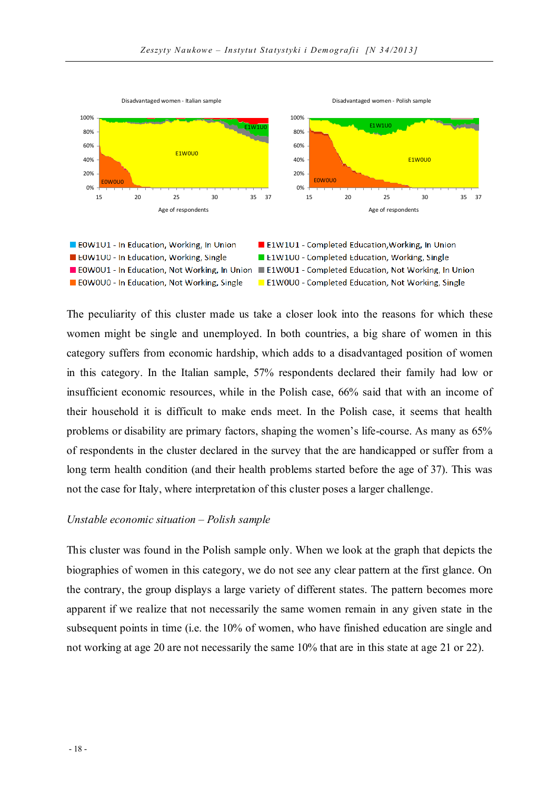



The peculiarity of this cluster made us take a closer look into the reasons for which these women might be single and unemployed. In both countries, a big share of women in this category suffers from economic hardship, which adds to a disadvantaged position of women in this category. In the Italian sample, 57% respondents declared their family had low or insufficient economic resources, while in the Polish case, 66% said that with an income of their household it is difficult to make ends meet. In the Polish case, it seems that health problems or disability are primary factors, shaping the women's life-course. As many as 65% of respondents in the cluster declared in the survey that the are handicapped or suffer from a long term health condition (and their health problems started before the age of 37). This was not the case for Italy, where interpretation of this cluster poses a larger challenge.

#### *Unstable economic situation – Polish sample*

This cluster was found in the Polish sample only. When we look at the graph that depicts the biographies of women in this category, we do not see any clear pattern at the first glance. On the contrary, the group displays a large variety of different states. The pattern becomes more apparent if we realize that not necessarily the same women remain in any given state in the subsequent points in time (i.e. the 10% of women, who have finished education are single and not working at age 20 are not necessarily the same 10% that are in this state at age 21 or 22).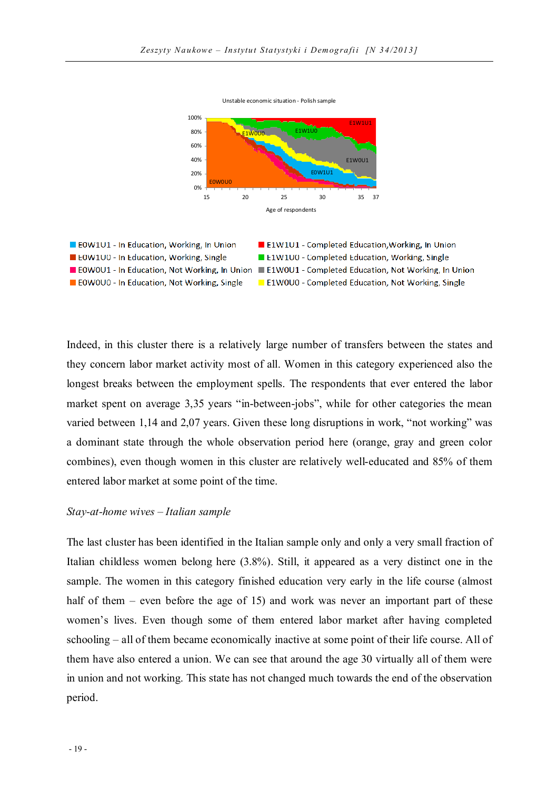Unstable economic situation - Polish sample





Indeed, in this cluster there is a relatively large number of transfers between the states and they concern labor market activity most of all. Women in this category experienced also the longest breaks between the employment spells. The respondents that ever entered the labor market spent on average 3,35 years "in-between-jobs", while for other categories the mean varied between 1,14 and 2,07 years. Given these long disruptions in work, "not working" was a dominant state through the whole observation period here (orange, gray and green color combines), even though women in this cluster are relatively well-educated and 85% of them entered labor market at some point of the time.

#### *Stay-at-home wives – Italian sample*

The last cluster has been identified in the Italian sample only and only a very small fraction of Italian childless women belong here (3.8%). Still, it appeared as a very distinct one in the sample. The women in this category finished education very early in the life course (almost half of them – even before the age of 15) and work was never an important part of these women's lives. Even though some of them entered labor market after having completed schooling – all of them became economically inactive at some point of their life course. All of them have also entered a union. We can see that around the age 30 virtually all of them were in union and not working. This state has not changed much towards the end of the observation period.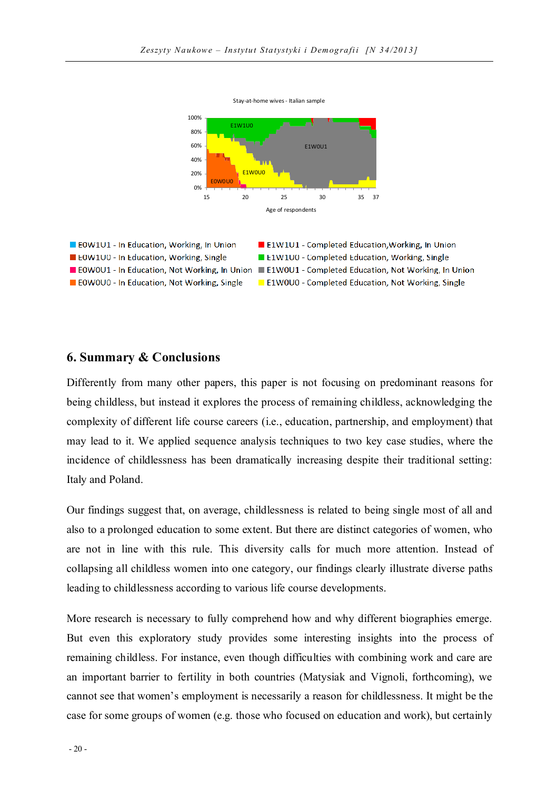Stay-at-home wives - Italian sample



### **6. Summary & Conclusions**

Differently from many other papers, this paper is not focusing on predominant reasons for being childless, but instead it explores the process of remaining childless, acknowledging the complexity of different life course careers (i.e., education, partnership, and employment) that may lead to it. We applied sequence analysis techniques to two key case studies, where the incidence of childlessness has been dramatically increasing despite their traditional setting: Italy and Poland.

Our findings suggest that, on average, childlessness is related to being single most of all and also to a prolonged education to some extent. But there are distinct categories of women, who are not in line with this rule. This diversity calls for much more attention. Instead of collapsing all childless women into one category, our findings clearly illustrate diverse paths leading to childlessness according to various life course developments.

More research is necessary to fully comprehend how and why different biographies emerge. But even this exploratory study provides some interesting insights into the process of remaining childless. For instance, even though difficulties with combining work and care are an important barrier to fertility in both countries (Matysiak and Vignoli, forthcoming), we cannot see that women's employment is necessarily a reason for childlessness. It might be the case for some groups of women (e.g. those who focused on education and work), but certainly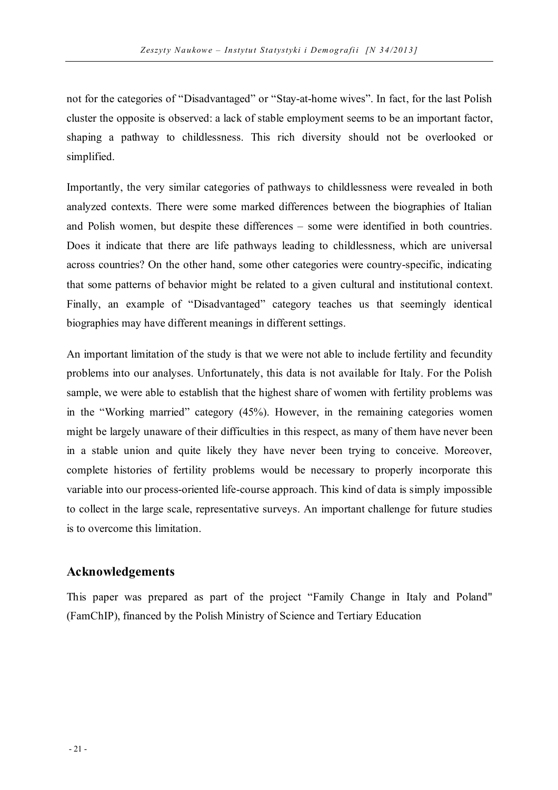not for the categories of "Disadvantaged" or "Stay-at-home wives". In fact, for the last Polish cluster the opposite is observed: a lack of stable employment seems to be an important factor, shaping a pathway to childlessness. This rich diversity should not be overlooked or simplified.

Importantly, the very similar categories of pathways to childlessness were revealed in both analyzed contexts. There were some marked differences between the biographies of Italian and Polish women, but despite these differences – some were identified in both countries. Does it indicate that there are life pathways leading to childlessness, which are universal across countries? On the other hand, some other categories were country-specific, indicating that some patterns of behavior might be related to a given cultural and institutional context. Finally, an example of "Disadvantaged" category teaches us that seemingly identical biographies may have different meanings in different settings.

An important limitation of the study is that we were not able to include fertility and fecundity problems into our analyses. Unfortunately, this data is not available for Italy. For the Polish sample, we were able to establish that the highest share of women with fertility problems was in the "Working married" category (45%). However, in the remaining categories women might be largely unaware of their difficulties in this respect, as many of them have never been in a stable union and quite likely they have never been trying to conceive. Moreover, complete histories of fertility problems would be necessary to properly incorporate this variable into our process-oriented life-course approach. This kind of data is simply impossible to collect in the large scale, representative surveys. An important challenge for future studies is to overcome this limitation.

## **Acknowledgements**

This paper was prepared as part of the project "Family Change in Italy and Poland" (FamChIP), financed by the Polish Ministry of Science and Tertiary Education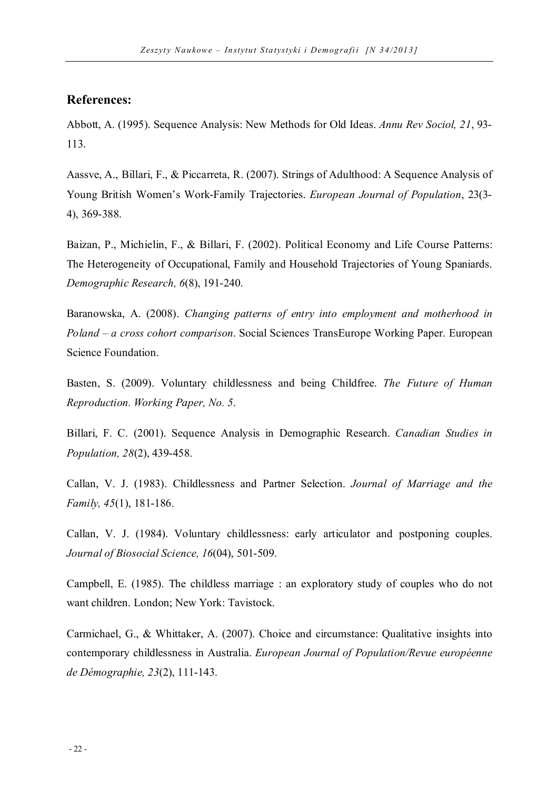## **References:**

Abbott, A. (1995). Sequence Analysis: New Methods for Old Ideas. *Annu Rev Sociol, 21*, 93- 113.

Aassve, A., Billari, F., & Piccarreta, R. (2007). Strings of Adulthood: A Sequence Analysis of Young British Women's Work-Family Trajectories. *European Journal of Population*, 23(3- 4), 369-388.

Baizan, P., Michielin, F., & Billari, F. (2002). Political Economy and Life Course Patterns: The Heterogeneity of Occupational, Family and Household Trajectories of Young Spaniards. *Demographic Research, 6*(8), 191-240.

Baranowska, A. (2008). *Changing patterns of entry into employment and motherhood in Poland – a cross cohort comparison*. Social Sciences TransEurope Working Paper. European Science Foundation.

Basten, S. (2009). Voluntary childlessness and being Childfree. *The Future of Human Reproduction. Working Paper, No. 5*.

Billari, F. C. (2001). Sequence Analysis in Demographic Research. *Canadian Studies in Population, 28*(2), 439-458.

Callan, V. J. (1983). Childlessness and Partner Selection. *Journal of Marriage and the Family, 45*(1), 181-186.

Callan, V. J. (1984). Voluntary childlessness: early articulator and postponing couples. *Journal of Biosocial Science, 16*(04), 501-509.

Campbell, E. (1985). The childless marriage : an exploratory study of couples who do not want children. London; New York: Tavistock.

Carmichael, G., & Whittaker, A. (2007). Choice and circumstance: Qualitative insights into contemporary childlessness in Australia. *European Journal of Population/Revue européenne de Démographie, 23*(2), 111-143.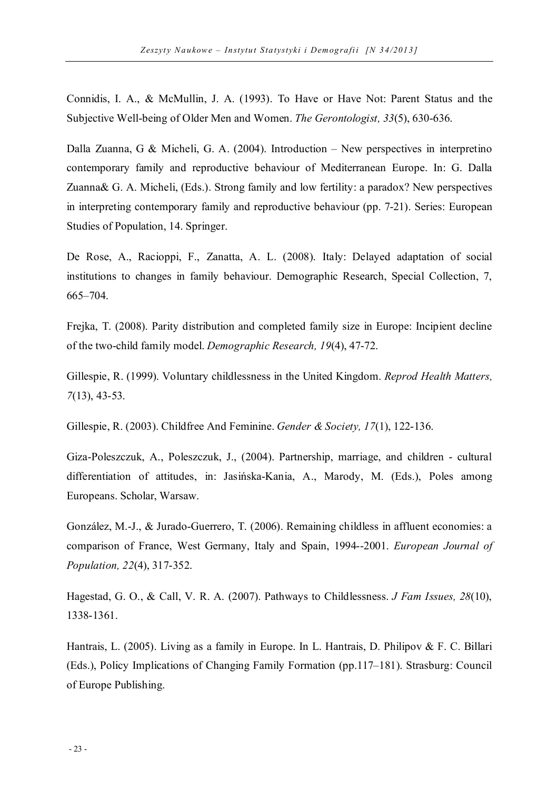Connidis, I. A., & McMullin, J. A. (1993). To Have or Have Not: Parent Status and the Subjective Well-being of Older Men and Women. *The Gerontologist, 33*(5), 630-636.

Dalla Zuanna, G & Micheli, G. A. (2004). Introduction – New perspectives in interpretino contemporary family and reproductive behaviour of Mediterranean Europe. In: G. Dalla Zuanna& G. A. Micheli, (Eds.). Strong family and low fertility: a paradox? New perspectives in interpreting contemporary family and reproductive behaviour (pp. 7-21). Series: European Studies of Population, 14. Springer.

De Rose, A., Racioppi, F., Zanatta, A. L. (2008). Italy: Delayed adaptation of social institutions to changes in family behaviour. Demographic Research, Special Collection, 7, 665–704.

Frejka, T. (2008). Parity distribution and completed family size in Europe: Incipient decline of the two-child family model. *Demographic Research, 19*(4), 47-72.

Gillespie, R. (1999). Voluntary childlessness in the United Kingdom. *Reprod Health Matters, 7*(13), 43-53.

Gillespie, R. (2003). Childfree And Feminine. *Gender & Society, 17*(1), 122-136.

Giza-Poleszczuk, A., Poleszczuk, J., (2004). Partnership, marriage, and children - cultural differentiation of attitudes, in: Jasińska-Kania, A., Marody, M. (Eds.), Poles among Europeans. Scholar, Warsaw.

González, M.-J., & Jurado-Guerrero, T. (2006). Remaining childless in affluent economies: a comparison of France, West Germany, Italy and Spain, 1994--2001. *European Journal of Population, 22*(4), 317-352.

Hagestad, G. O., & Call, V. R. A. (2007). Pathways to Childlessness. *J Fam Issues, 28*(10), 1338-1361.

Hantrais, L. (2005). Living as a family in Europe. In L. Hantrais, D. Philipov & F. C. Billari (Eds.), Policy Implications of Changing Family Formation (pp.117–181). Strasburg: Council of Europe Publishing.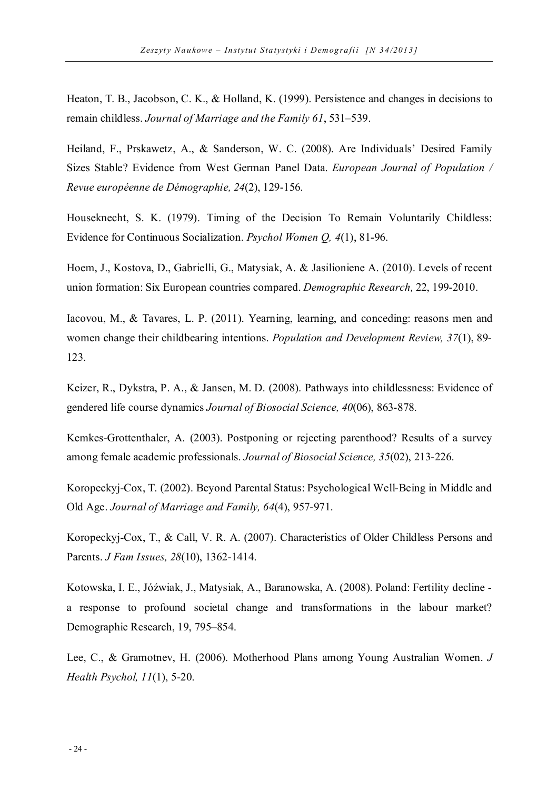Heaton, T. B., Jacobson, C. K., & Holland, K. (1999). Persistence and changes in decisions to remain childless. *Journal of Marriage and the Family 61*, 531–539.

Heiland, F., Prskawetz, A., & Sanderson, W. C. (2008). Are Individuals' Desired Family Sizes Stable? Evidence from West German Panel Data. *European Journal of Population / Revue européenne de Démographie, 24*(2), 129-156.

Houseknecht, S. K. (1979). Timing of the Decision To Remain Voluntarily Childless: Evidence for Continuous Socialization. *Psychol Women Q, 4*(1), 81-96.

Hoem, J., Kostova, D., Gabrielli, G., Matysiak, A. & Jasilioniene A. (2010). Levels of recent union formation: Six European countries compared. *Demographic Research,* 22, 199-2010.

Iacovou, M., & Tavares, L. P. (2011). Yearning, learning, and conceding: reasons men and women change their childbearing intentions. *Population and Development Review, 37*(1), 89- 123.

Keizer, R., Dykstra, P. A., & Jansen, M. D. (2008). Pathways into childlessness: Evidence of gendered life course dynamics *Journal of Biosocial Science, 40*(06), 863-878.

Kemkes-Grottenthaler, A. (2003). Postponing or rejecting parenthood? Results of a survey among female academic professionals. *Journal of Biosocial Science, 35*(02), 213-226.

Koropeckyj-Cox, T. (2002). Beyond Parental Status: Psychological Well-Being in Middle and Old Age. *Journal of Marriage and Family, 64*(4), 957-971.

Koropeckyj-Cox, T., & Call, V. R. A. (2007). Characteristics of Older Childless Persons and Parents. *J Fam Issues, 28*(10), 1362-1414.

Kotowska, I. E., Jóźwiak, J., Matysiak, A., Baranowska, A. (2008). Poland: Fertility decline a response to profound societal change and transformations in the labour market? Demographic Research, 19, 795–854.

Lee, C., & Gramotnev, H. (2006). Motherhood Plans among Young Australian Women. *J Health Psychol, 11*(1), 5-20.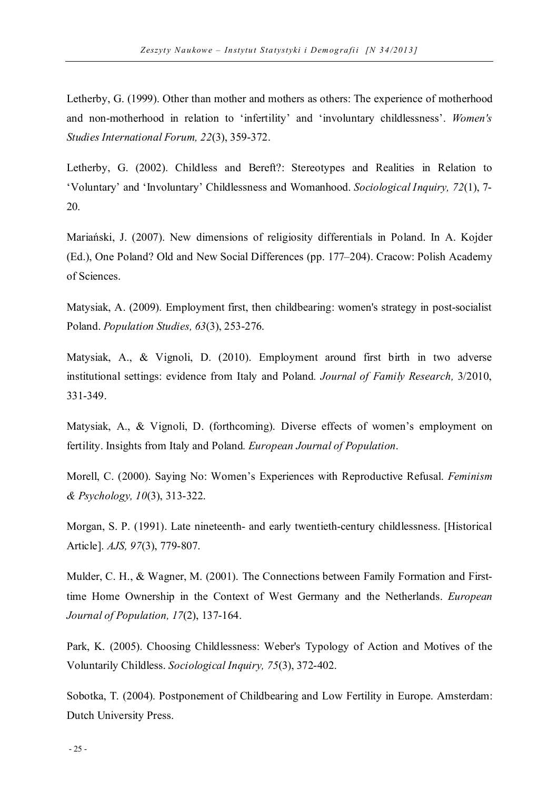Letherby, G. (1999). Other than mother and mothers as others: The experience of motherhood and non-motherhood in relation to 'infertility' and 'involuntary childlessness'. *Women's Studies International Forum, 22*(3), 359-372.

Letherby, G. (2002). Childless and Bereft?: Stereotypes and Realities in Relation to 'Voluntary' and 'Involuntary' Childlessness and Womanhood. *Sociological Inquiry, 72*(1), 7- 20.

Mariański, J. (2007). New dimensions of religiosity differentials in Poland. In A. Kojder (Ed.), One Poland? Old and New Social Differences (pp. 177–204). Cracow: Polish Academy of Sciences.

Matysiak, A. (2009). Employment first, then childbearing: women's strategy in post-socialist Poland. *Population Studies, 63*(3), 253-276.

Matysiak, A., & Vignoli, D. (2010). Employment around first birth in two adverse institutional settings: evidence from Italy and Poland*. Journal of Family Research,* 3/2010, 331-349.

Matysiak, A., & Vignoli, D. (forthcoming). Diverse effects of women's employment on fertility. Insights from Italy and Poland*. European Journal of Population*.

Morell, C. (2000). Saying No: Women's Experiences with Reproductive Refusal. *Feminism & Psychology, 10*(3), 313-322.

Morgan, S. P. (1991). Late nineteenth- and early twentieth-century childlessness. [Historical Article]. *AJS, 97*(3), 779-807.

Mulder, C. H., & Wagner, M. (2001). The Connections between Family Formation and Firsttime Home Ownership in the Context of West Germany and the Netherlands. *European Journal of Population, 17*(2), 137-164.

Park, K. (2005). Choosing Childlessness: Weber's Typology of Action and Motives of the Voluntarily Childless. *Sociological Inquiry, 75*(3), 372-402.

Sobotka, T. (2004). Postponement of Childbearing and Low Fertility in Europe. Amsterdam: Dutch University Press.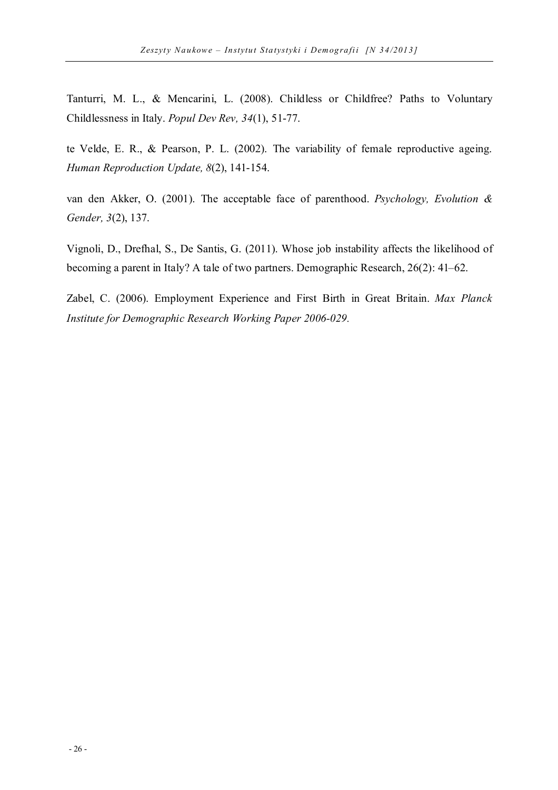Tanturri, M. L., & Mencarini, L. (2008). Childless or Childfree? Paths to Voluntary Childlessness in Italy. *Popul Dev Rev, 34*(1), 51-77.

te Velde, E. R., & Pearson, P. L. (2002). The variability of female reproductive ageing. *Human Reproduction Update, 8*(2), 141-154.

van den Akker, O. (2001). The acceptable face of parenthood. *Psychology, Evolution & Gender, 3*(2), 137.

Vignoli, D., Drefhal, S., De Santis, G. (2011). Whose job instability affects the likelihood of becoming a parent in Italy? A tale of two partners. Demographic Research, 26(2): 41–62.

Zabel, C. (2006). Employment Experience and First Birth in Great Britain. *Max Planck Institute for Demographic Research Working Paper 2006-029.*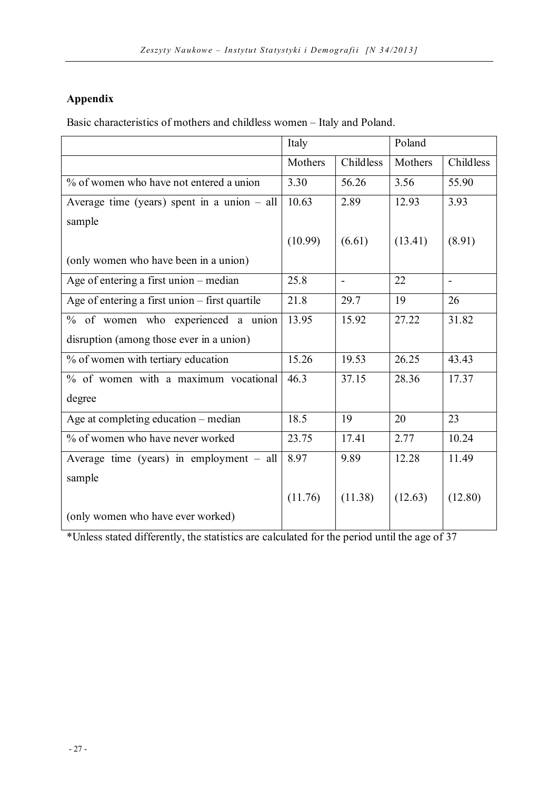# **Appendix**

Basic characteristics of mothers and childless women – Italy and Poland.

|                                                | Italy   |                | Poland  |                |
|------------------------------------------------|---------|----------------|---------|----------------|
|                                                | Mothers | Childless      | Mothers | Childless      |
| % of women who have not entered a union        | 3.30    | 56.26          | 3.56    | 55.90          |
| Average time (years) spent in a union $-$ all  | 10.63   | 2.89           | 12.93   | 3.93           |
| sample                                         |         |                |         |                |
|                                                | (10.99) | (6.61)         | (13.41) | (8.91)         |
| (only women who have been in a union)          |         |                |         |                |
| Age of entering a first union - median         | 25.8    | $\overline{a}$ | 22      | $\overline{a}$ |
| Age of entering a first union – first quartile | 21.8    | 29.7           | 19      | 26             |
| % of women who experienced a union             | 13.95   | 15.92          | 27.22   | 31.82          |
| disruption (among those ever in a union)       |         |                |         |                |
| % of women with tertiary education             | 15.26   | 19.53          | 26.25   | 43.43          |
| % of women with a maximum vocational           | 46.3    | 37.15          | 28.36   | 17.37          |
| degree                                         |         |                |         |                |
| Age at completing education – median           | 18.5    | 19             | 20      | 23             |
| % of women who have never worked               | 23.75   | 17.41          | 2.77    | 10.24          |
| Average time (years) in employment $-$ all     | 8.97    | 9.89           | 12.28   | 11.49          |
| sample                                         |         |                |         |                |
|                                                | (11.76) | (11.38)        | (12.63) | (12.80)        |
| (only women who have ever worked)              |         |                |         |                |

\*Unless stated differently, the statistics are calculated for the period until the age of 37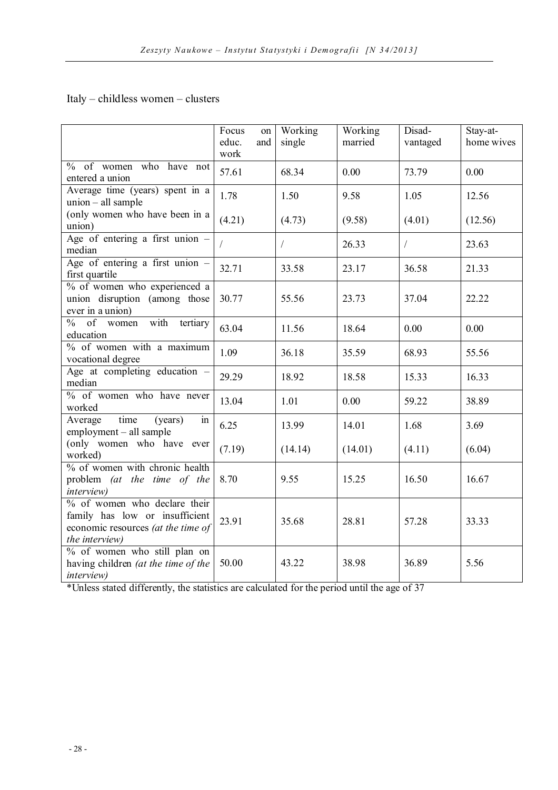## Italy – childless women – clusters

|                                                                                                                        | Focus<br>on<br>educ.<br>and<br>work | Working<br>single | Working<br>married | Disad-<br>vantaged | Stay-at-<br>home wives |
|------------------------------------------------------------------------------------------------------------------------|-------------------------------------|-------------------|--------------------|--------------------|------------------------|
| % of women who have not<br>entered a union                                                                             | 57.61                               | 68.34             | 0.00               | 73.79              | 0.00                   |
| Average time (years) spent in a<br>union - all sample                                                                  | 1.78                                | 1.50              | 9.58               | 1.05               | 12.56                  |
| (only women who have been in a<br>union)                                                                               | (4.21)                              | (4.73)            | (9.58)             | (4.01)             | (12.56)                |
| Age of entering a first union $-$<br>median                                                                            |                                     | $\sqrt{2}$        | 26.33              | $\sqrt{2}$         | 23.63                  |
| Age of entering a first union $-$<br>first quartile                                                                    | 32.71                               | 33.58             | 23.17              | 36.58              | 21.33                  |
| % of women who experienced a<br>union disruption (among those<br>ever in a union)                                      | 30.77                               | 55.56             | 23.73              | 37.04              | 22.22                  |
| $\frac{9}{6}$ of women<br>with<br>tertiary<br>education                                                                | 63.04                               | 11.56             | 18.64              | 0.00               | 0.00                   |
| $\%$ of women with a maximum<br>vocational degree                                                                      | 1.09                                | 36.18             | 35.59              | 68.93              | 55.56                  |
| Age at completing education -<br>median                                                                                | 29.29                               | 18.92             | 18.58              | 15.33              | 16.33                  |
| % of women who have never<br>worked                                                                                    | 13.04                               | 1.01              | 0.00               | 59.22              | 38.89                  |
| time<br>Average<br>(years)<br>in<br>employment - all sample                                                            | 6.25                                | 13.99             | 14.01              | 1.68               | 3.69                   |
| (only women who have ever<br>worked)                                                                                   | (7.19)                              | (14.14)           | (14.01)            | (4.11)             | (6.04)                 |
| % of women with chronic health<br>problem (at the time of the<br><i>interview</i> )                                    | 8.70                                | 9.55              | 15.25              | 16.50              | 16.67                  |
| % of women who declare their<br>family has low or insufficient<br>economic resources (at the time of<br>the interview) | 23.91                               | 35.68             | 28.81              | 57.28              | 33.33                  |
| % of women who still plan on<br>having children (at the time of the<br><i>interview</i> )                              | 50.00                               | 43.22             | 38.98              | 36.89              | 5.56                   |

\*Unless stated differently, the statistics are calculated for the period until the age of 37